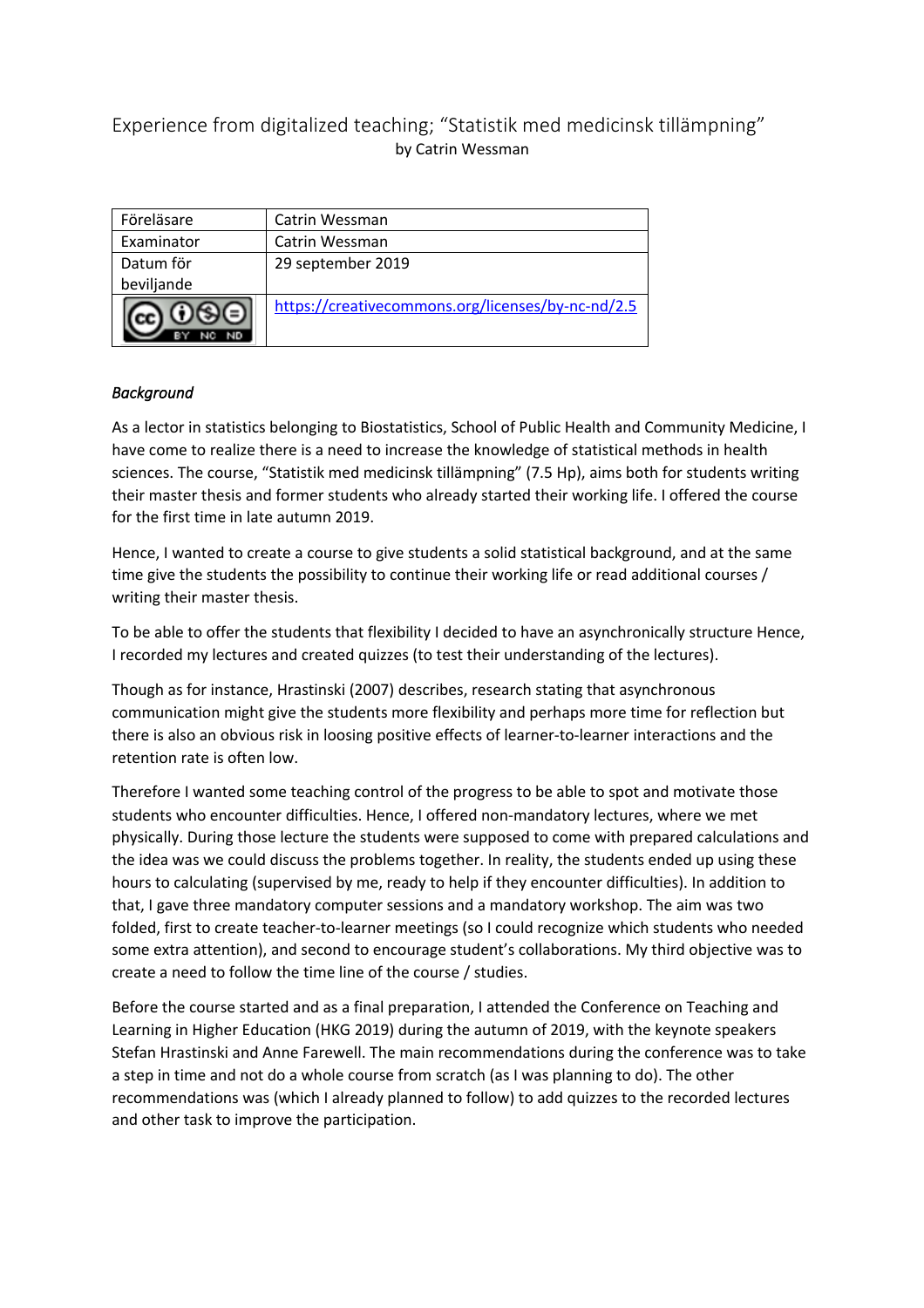# Experience from digitalized teaching; "Statistik med medicinsk tillämpning" by Catrin Wessman

| Föreläsare | Catrin Wessman                                    |
|------------|---------------------------------------------------|
| Examinator | Catrin Wessman                                    |
| Datum för  | 29 september 2019                                 |
| beviljande |                                                   |
|            | https://creativecommons.org/licenses/by-nc-nd/2.5 |

## *Background*

As a lector in statistics belonging to Biostatistics, School of Public Health and Community Medicine, I have come to realize there is a need to increase the knowledge of statistical methods in health sciences. The course, "Statistik med medicinsk tillämpning" (7.5 Hp), aims both for students writing their master thesis and former students who already started their working life. I offered the course for the first time in late autumn 2019.

Hence, I wanted to create a course to give students a solid statistical background, and at the same time give the students the possibility to continue their working life or read additional courses / writing their master thesis.

To be able to offer the students that flexibility I decided to have an asynchronically structure Hence, I recorded my lectures and created quizzes (to test their understanding of the lectures).

Though as for instance, Hrastinski (2007) describes, research stating that asynchronous communication might give the students more flexibility and perhaps more time for reflection but there is also an obvious risk in loosing positive effects of learner-to-learner interactions and the retention rate is often low.

Therefore I wanted some teaching control of the progress to be able to spot and motivate those students who encounter difficulties. Hence, I offered non-mandatory lectures, where we met physically. During those lecture the students were supposed to come with prepared calculations and the idea was we could discuss the problems together. In reality, the students ended up using these hours to calculating (supervised by me, ready to help if they encounter difficulties). In addition to that, I gave three mandatory computer sessions and a mandatory workshop. The aim was two folded, first to create teacher-to-learner meetings (so I could recognize which students who needed some extra attention), and second to encourage student's collaborations. My third objective was to create a need to follow the time line of the course / studies.

Before the course started and as a final preparation, I attended the Conference on Teaching and Learning in Higher Education (HKG 2019) during the autumn of 2019, with the keynote speakers Stefan Hrastinski and Anne Farewell. The main recommendations during the conference was to take a step in time and not do a whole course from scratch (as I was planning to do). The other recommendations was (which I already planned to follow) to add quizzes to the recorded lectures and other task to improve the participation.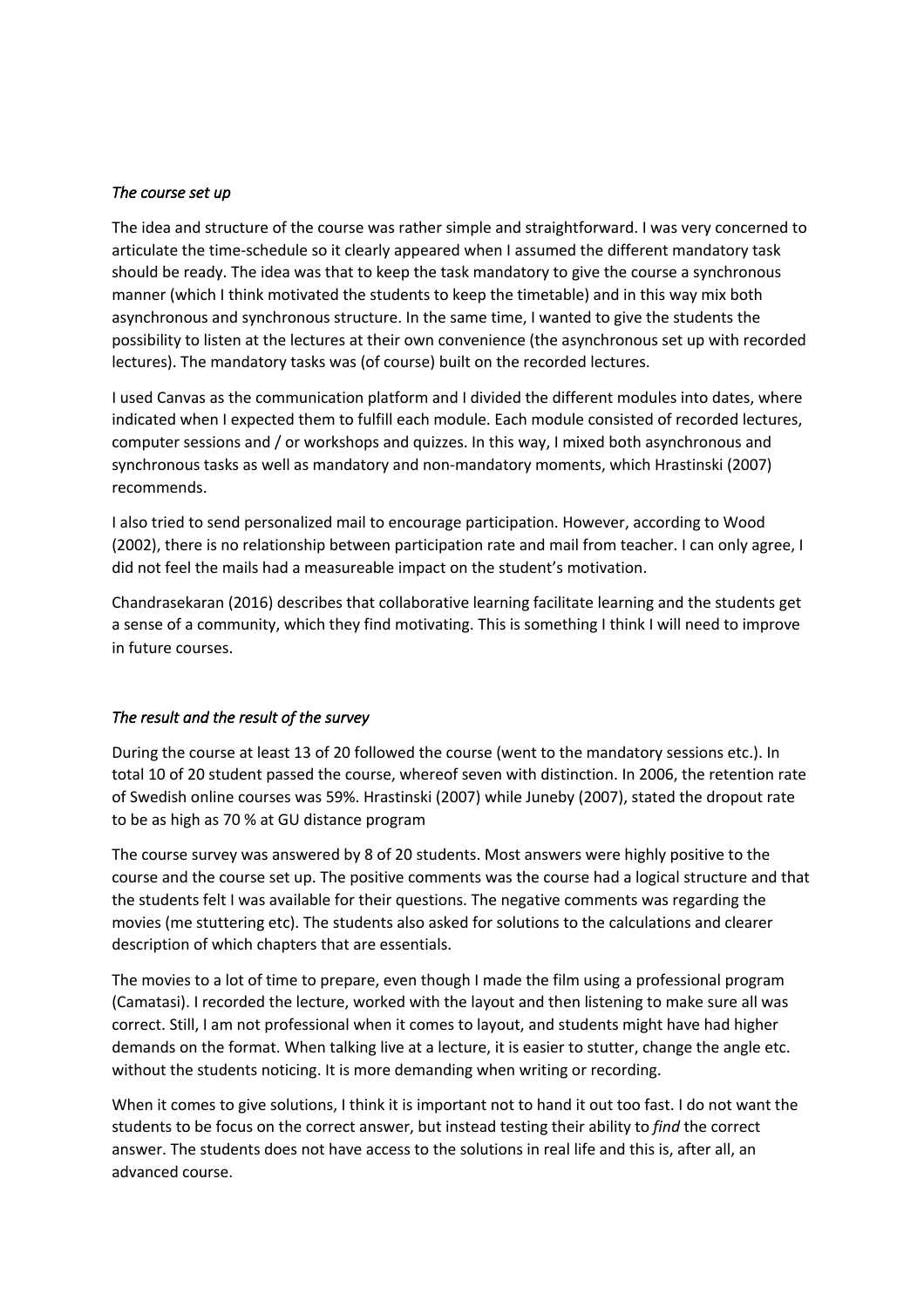#### *The course set up*

The idea and structure of the course was rather simple and straightforward. I was very concerned to articulate the time-schedule so it clearly appeared when I assumed the different mandatory task should be ready. The idea was that to keep the task mandatory to give the course a synchronous manner (which I think motivated the students to keep the timetable) and in this way mix both asynchronous and synchronous structure. In the same time, I wanted to give the students the possibility to listen at the lectures at their own convenience (the asynchronous set up with recorded lectures). The mandatory tasks was (of course) built on the recorded lectures.

I used Canvas as the communication platform and I divided the different modules into dates, where indicated when I expected them to fulfill each module. Each module consisted of recorded lectures, computer sessions and / or workshops and quizzes. In this way, I mixed both asynchronous and synchronous tasks as well as mandatory and non-mandatory moments, which Hrastinski (2007) recommends.

I also tried to send personalized mail to encourage participation. However, according to Wood (2002), there is no relationship between participation rate and mail from teacher. I can only agree, I did not feel the mails had a measureable impact on the student's motivation.

Chandrasekaran (2016) describes that collaborative learning facilitate learning and the students get a sense of a community, which they find motivating. This is something I think I will need to improve in future courses.

### *The result and the result of the survey*

During the course at least 13 of 20 followed the course (went to the mandatory sessions etc.). In total 10 of 20 student passed the course, whereof seven with distinction. In 2006, the retention rate of Swedish online courses was 59%. Hrastinski (2007) while Juneby (2007), stated the dropout rate to be as high as 70 % at GU distance program

The course survey was answered by 8 of 20 students. Most answers were highly positive to the course and the course set up. The positive comments was the course had a logical structure and that the students felt I was available for their questions. The negative comments was regarding the movies (me stuttering etc). The students also asked for solutions to the calculations and clearer description of which chapters that are essentials.

The movies to a lot of time to prepare, even though I made the film using a professional program (Camatasi). I recorded the lecture, worked with the layout and then listening to make sure all was correct. Still, I am not professional when it comes to layout, and students might have had higher demands on the format. When talking live at a lecture, it is easier to stutter, change the angle etc. without the students noticing. It is more demanding when writing or recording.

When it comes to give solutions, I think it is important not to hand it out too fast. I do not want the students to be focus on the correct answer, but instead testing their ability to *find* the correct answer. The students does not have access to the solutions in real life and this is, after all, an advanced course.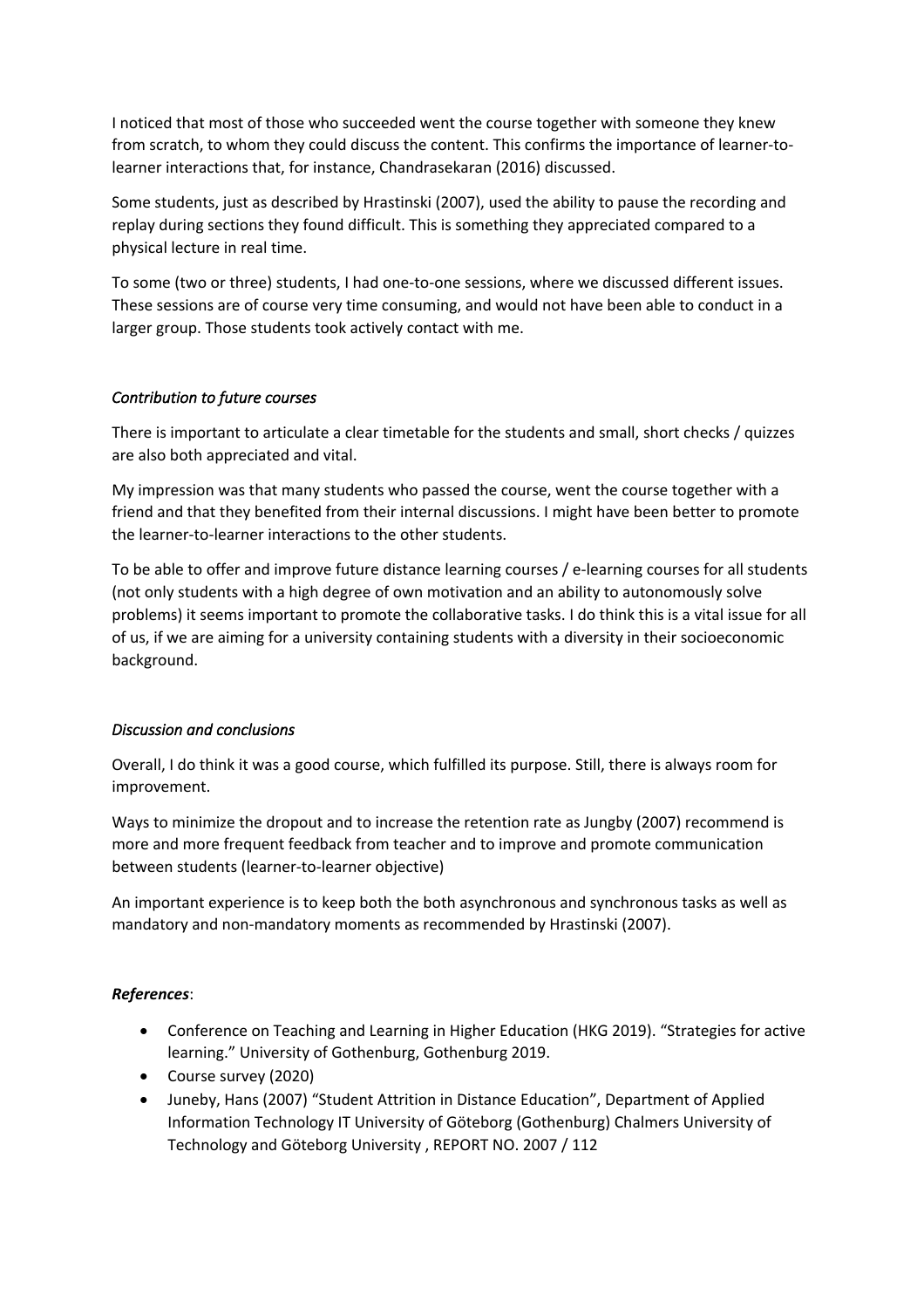I noticed that most of those who succeeded went the course together with someone they knew from scratch, to whom they could discuss the content. This confirms the importance of learner-tolearner interactions that, for instance, Chandrasekaran (2016) discussed.

Some students, just as described by Hrastinski (2007), used the ability to pause the recording and replay during sections they found difficult. This is something they appreciated compared to a physical lecture in real time.

To some (two or three) students, I had one-to-one sessions, where we discussed different issues. These sessions are of course very time consuming, and would not have been able to conduct in a larger group. Those students took actively contact with me.

## *Contribution to future courses*

There is important to articulate a clear timetable for the students and small, short checks / quizzes are also both appreciated and vital.

My impression was that many students who passed the course, went the course together with a friend and that they benefited from their internal discussions. I might have been better to promote the learner-to-learner interactions to the other students.

To be able to offer and improve future distance learning courses / e-learning courses for all students (not only students with a high degree of own motivation and an ability to autonomously solve problems) it seems important to promote the collaborative tasks. I do think this is a vital issue for all of us, if we are aiming for a university containing students with a diversity in their socioeconomic background.

### *Discussion and conclusions*

Overall, I do think it was a good course, which fulfilled its purpose. Still, there is always room for improvement.

Ways to minimize the dropout and to increase the retention rate as Jungby (2007) recommend is more and more frequent feedback from teacher and to improve and promote communication between students (learner-to-learner objective)

An important experience is to keep both the both asynchronous and synchronous tasks as well as mandatory and non-mandatory moments as recommended by Hrastinski (2007).

### *References*:

- Conference on Teaching and Learning in Higher Education (HKG 2019). "Strategies for active learning." University of Gothenburg, Gothenburg 2019.
- Course survey (2020)
- Juneby, Hans (2007) "Student Attrition in Distance Education", Department of Applied Information Technology IT University of Göteborg (Gothenburg) Chalmers University of Technology and Göteborg University , REPORT NO. 2007 / 112